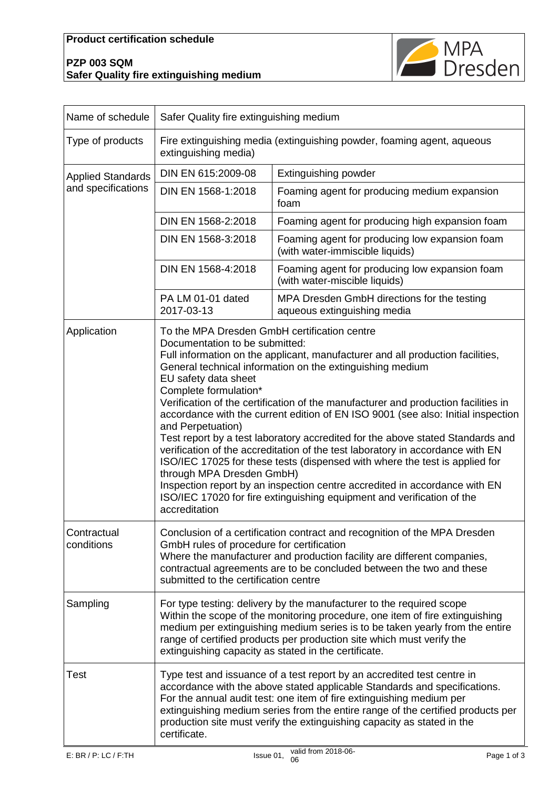## **PZP 003 SQM Safer Quality fire extinguishing medium**



| Name of schedule                               | Safer Quality fire extinguishing medium                                                                                                                                                                                                                                                                                                                                                                                                                                                                                                                                                                                                                                                                                                                                                                                                                                                                                                |                                                                                                                                                                                                                                                                                                                                                                                            |
|------------------------------------------------|----------------------------------------------------------------------------------------------------------------------------------------------------------------------------------------------------------------------------------------------------------------------------------------------------------------------------------------------------------------------------------------------------------------------------------------------------------------------------------------------------------------------------------------------------------------------------------------------------------------------------------------------------------------------------------------------------------------------------------------------------------------------------------------------------------------------------------------------------------------------------------------------------------------------------------------|--------------------------------------------------------------------------------------------------------------------------------------------------------------------------------------------------------------------------------------------------------------------------------------------------------------------------------------------------------------------------------------------|
| Type of products                               | Fire extinguishing media (extinguishing powder, foaming agent, aqueous<br>extinguishing media)                                                                                                                                                                                                                                                                                                                                                                                                                                                                                                                                                                                                                                                                                                                                                                                                                                         |                                                                                                                                                                                                                                                                                                                                                                                            |
| <b>Applied Standards</b><br>and specifications | DIN EN 615:2009-08                                                                                                                                                                                                                                                                                                                                                                                                                                                                                                                                                                                                                                                                                                                                                                                                                                                                                                                     | Extinguishing powder                                                                                                                                                                                                                                                                                                                                                                       |
|                                                | DIN EN 1568-1:2018                                                                                                                                                                                                                                                                                                                                                                                                                                                                                                                                                                                                                                                                                                                                                                                                                                                                                                                     | Foaming agent for producing medium expansion<br>foam                                                                                                                                                                                                                                                                                                                                       |
|                                                | DIN EN 1568-2:2018                                                                                                                                                                                                                                                                                                                                                                                                                                                                                                                                                                                                                                                                                                                                                                                                                                                                                                                     | Foaming agent for producing high expansion foam                                                                                                                                                                                                                                                                                                                                            |
|                                                | DIN EN 1568-3:2018                                                                                                                                                                                                                                                                                                                                                                                                                                                                                                                                                                                                                                                                                                                                                                                                                                                                                                                     | Foaming agent for producing low expansion foam<br>(with water-immiscible liquids)                                                                                                                                                                                                                                                                                                          |
|                                                | DIN EN 1568-4:2018                                                                                                                                                                                                                                                                                                                                                                                                                                                                                                                                                                                                                                                                                                                                                                                                                                                                                                                     | Foaming agent for producing low expansion foam<br>(with water-miscible liquids)                                                                                                                                                                                                                                                                                                            |
|                                                | PA LM 01-01 dated<br>2017-03-13                                                                                                                                                                                                                                                                                                                                                                                                                                                                                                                                                                                                                                                                                                                                                                                                                                                                                                        | MPA Dresden GmbH directions for the testing<br>aqueous extinguishing media                                                                                                                                                                                                                                                                                                                 |
| Application                                    | To the MPA Dresden GmbH certification centre<br>Documentation to be submitted:<br>Full information on the applicant, manufacturer and all production facilities,<br>General technical information on the extinguishing medium<br>EU safety data sheet<br>Complete formulation*<br>Verification of the certification of the manufacturer and production facilities in<br>accordance with the current edition of EN ISO 9001 (see also: Initial inspection<br>and Perpetuation)<br>Test report by a test laboratory accredited for the above stated Standards and<br>verification of the accreditation of the test laboratory in accordance with EN<br>ISO/IEC 17025 for these tests (dispensed with where the test is applied for<br>through MPA Dresden GmbH)<br>Inspection report by an inspection centre accredited in accordance with EN<br>ISO/IEC 17020 for fire extinguishing equipment and verification of the<br>accreditation |                                                                                                                                                                                                                                                                                                                                                                                            |
| Contractual<br>conditions                      | Conclusion of a certification contract and recognition of the MPA Dresden<br>GmbH rules of procedure for certification<br>Where the manufacturer and production facility are different companies,<br>contractual agreements are to be concluded between the two and these<br>submitted to the certification centre                                                                                                                                                                                                                                                                                                                                                                                                                                                                                                                                                                                                                     |                                                                                                                                                                                                                                                                                                                                                                                            |
| Sampling                                       | For type testing: delivery by the manufacturer to the required scope<br>Within the scope of the monitoring procedure, one item of fire extinguishing<br>medium per extinguishing medium series is to be taken yearly from the entire<br>range of certified products per production site which must verify the<br>extinguishing capacity as stated in the certificate.                                                                                                                                                                                                                                                                                                                                                                                                                                                                                                                                                                  |                                                                                                                                                                                                                                                                                                                                                                                            |
| Test                                           | certificate.                                                                                                                                                                                                                                                                                                                                                                                                                                                                                                                                                                                                                                                                                                                                                                                                                                                                                                                           | Type test and issuance of a test report by an accredited test centre in<br>accordance with the above stated applicable Standards and specifications.<br>For the annual audit test: one item of fire extinguishing medium per<br>extinguishing medium series from the entire range of the certified products per<br>production site must verify the extinguishing capacity as stated in the |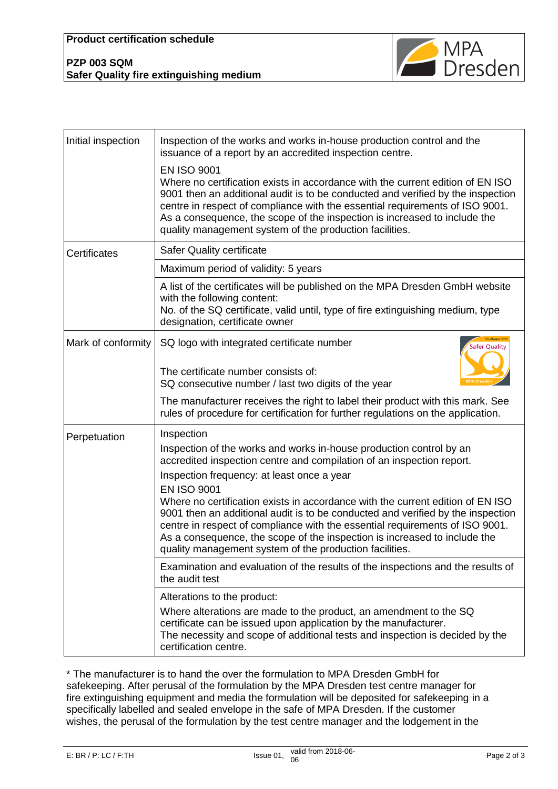## **PZP 003 SQM Safer Quality fire extinguishing medium**



| Initial inspection | Inspection of the works and works in-house production control and the<br>issuance of a report by an accredited inspection centre.<br><b>EN ISO 9001</b><br>Where no certification exists in accordance with the current edition of EN ISO<br>9001 then an additional audit is to be conducted and verified by the inspection<br>centre in respect of compliance with the essential requirements of ISO 9001.<br>As a consequence, the scope of the inspection is increased to include the<br>quality management system of the production facilities.                                                                        |
|--------------------|-----------------------------------------------------------------------------------------------------------------------------------------------------------------------------------------------------------------------------------------------------------------------------------------------------------------------------------------------------------------------------------------------------------------------------------------------------------------------------------------------------------------------------------------------------------------------------------------------------------------------------|
| Certificates       | Safer Quality certificate                                                                                                                                                                                                                                                                                                                                                                                                                                                                                                                                                                                                   |
|                    | Maximum period of validity: 5 years                                                                                                                                                                                                                                                                                                                                                                                                                                                                                                                                                                                         |
|                    | A list of the certificates will be published on the MPA Dresden GmbH website<br>with the following content:<br>No. of the SQ certificate, valid until, type of fire extinguishing medium, type<br>designation, certificate owner                                                                                                                                                                                                                                                                                                                                                                                            |
| Mark of conformity | SQ logo with integrated certificate number<br>Safer Quality<br>The certificate number consists of:<br>SQ consecutive number / last two digits of the year<br>The manufacturer receives the right to label their product with this mark. See<br>rules of procedure for certification for further regulations on the application.                                                                                                                                                                                                                                                                                             |
| Perpetuation       | Inspection<br>Inspection of the works and works in-house production control by an<br>accredited inspection centre and compilation of an inspection report.<br>Inspection frequency: at least once a year<br><b>EN ISO 9001</b><br>Where no certification exists in accordance with the current edition of EN ISO<br>9001 then an additional audit is to be conducted and verified by the inspection<br>centre in respect of compliance with the essential requirements of ISO 9001.<br>As a consequence, the scope of the inspection is increased to include the<br>quality management system of the production facilities. |
|                    | Examination and evaluation of the results of the inspections and the results of<br>the audit test                                                                                                                                                                                                                                                                                                                                                                                                                                                                                                                           |
|                    | Alterations to the product:<br>Where alterations are made to the product, an amendment to the SQ<br>certificate can be issued upon application by the manufacturer.<br>The necessity and scope of additional tests and inspection is decided by the<br>certification centre.                                                                                                                                                                                                                                                                                                                                                |

\* The manufacturer is to hand the over the formulation to MPA Dresden GmbH for safekeeping. After perusal of the formulation by the MPA Dresden test centre manager for fire extinguishing equipment and media the formulation will be deposited for safekeeping in a specifically labelled and sealed envelope in the safe of MPA Dresden. If the customer wishes, the perusal of the formulation by the test centre manager and the lodgement in the